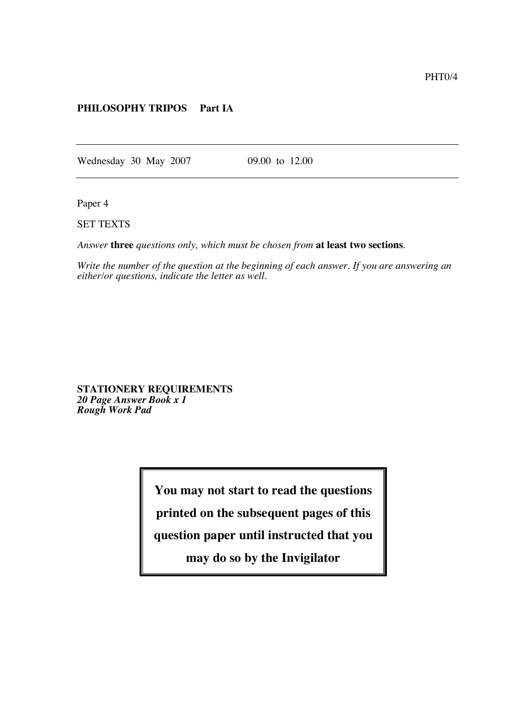## **PHILOSOPHY TRIPOS Part IA**

Wednesday 30 May 2007 09.00 to 12.00

Paper 4

SET TEXTS

*Answer* **three** *questions only, which must be chosen from* **at least two sections**.

*Write the number of the question at the beginning of each answer. If you are answering an either/or questions, indicate the letter as well.*

**STATIONERY REQUIREMENTS** *20 Page Answer Book x 1 Rough Work Pad*

**You may not start to read the questions**

**printed on the subsequent pages of this**

**question paper until instructed that you**

**may do so by the Invigilator**